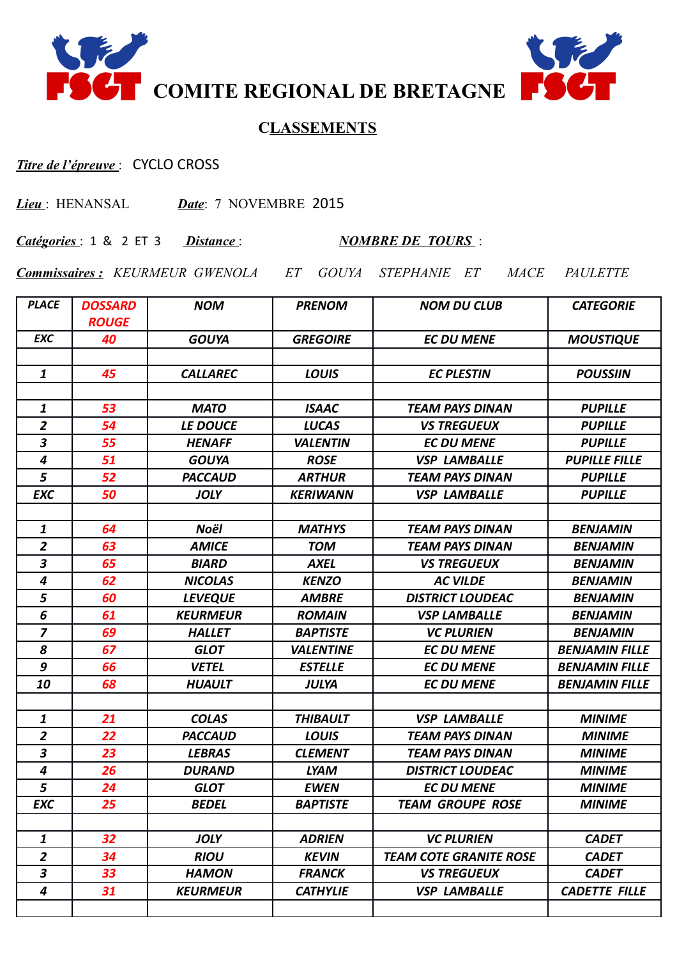



## **CLASSEMENTS**

## *Titre de l'épreuve* : CYCLO CROSS

*Lieu* : HENANSAL *Date*: 7 NOVEMBRE 2015

*Catégories* : 1 & 2 ET 3 *Distance* : *NOMBRE DE TOURS* :

*Commissaires : KEURMEUR GWENOLA ET GOUYA STEPHANIE ET MACE PAULETTE* 

| <b>PLACE</b>            | <b>DOSSARD</b><br><b>ROUGE</b> | <b>NOM</b>      | <b>PRENOM</b>    | <b>NOM DU CLUB</b>            | <b>CATEGORIE</b>      |
|-------------------------|--------------------------------|-----------------|------------------|-------------------------------|-----------------------|
| <b>EXC</b>              | 40                             | <b>GOUYA</b>    | <b>GREGOIRE</b>  | <b>EC DU MENE</b>             | <b>MOUSTIQUE</b>      |
|                         |                                |                 |                  |                               |                       |
| $\mathbf{1}$            | 45                             | <b>CALLAREC</b> | <b>LOUIS</b>     | <b>EC PLESTIN</b>             | <b>POUSSIIN</b>       |
|                         |                                |                 |                  |                               |                       |
| $\boldsymbol{1}$        | 53                             | <b>MATO</b>     | <b>ISAAC</b>     | <b>TEAM PAYS DINAN</b>        | <b>PUPILLE</b>        |
| $\overline{2}$          | 54                             | LE DOUCE        | <b>LUCAS</b>     | <b>VS TREGUEUX</b>            | <b>PUPILLE</b>        |
| 3                       | 55                             | <b>HENAFF</b>   | <b>VALENTIN</b>  | <b>EC DU MENE</b>             | <b>PUPILLE</b>        |
| $\boldsymbol{4}$        | 51                             | <b>GOUYA</b>    | <b>ROSE</b>      | <b>VSP LAMBALLE</b>           | <b>PUPILLE FILLE</b>  |
| 5                       | 52                             | <b>PACCAUD</b>  | <b>ARTHUR</b>    | <b>TEAM PAYS DINAN</b>        | <b>PUPILLE</b>        |
| <b>EXC</b>              | 50                             | <b>JOLY</b>     | <b>KERIWANN</b>  | <b>VSP LAMBALLE</b>           | <b>PUPILLE</b>        |
|                         |                                |                 |                  |                               |                       |
| 1                       | 64                             | Noël            | <b>MATHYS</b>    | <b>TEAM PAYS DINAN</b>        | <b>BENJAMIN</b>       |
| $\overline{2}$          | 63                             | <b>AMICE</b>    | <b>TOM</b>       | <b>TEAM PAYS DINAN</b>        | <b>BENJAMIN</b>       |
| 3                       | 65                             | <b>BIARD</b>    | <b>AXEL</b>      | <b>VS TREGUEUX</b>            | <b>BENJAMIN</b>       |
| $\boldsymbol{4}$        | 62                             | <b>NICOLAS</b>  | <b>KENZO</b>     | <b>AC VILDE</b>               | <b>BENJAMIN</b>       |
| 5                       | 60                             | <b>LEVEQUE</b>  | <b>AMBRE</b>     | <b>DISTRICT LOUDEAC</b>       | <b>BENJAMIN</b>       |
| 6                       | 61                             | <b>KEURMEUR</b> | <b>ROMAIN</b>    | <b>VSP LAMBALLE</b>           | <b>BENJAMIN</b>       |
| $\overline{z}$          | 69                             | <b>HALLET</b>   | <b>BAPTISTE</b>  | <b>VC PLURIEN</b>             | <b>BENJAMIN</b>       |
| 8                       | 67                             | <b>GLOT</b>     | <b>VALENTINE</b> | <b>EC DU MENE</b>             | <b>BENJAMIN FILLE</b> |
| 9                       | 66                             | <b>VETEL</b>    | <b>ESTELLE</b>   | <b>EC DU MENE</b>             | <b>BENJAMIN FILLE</b> |
| 10                      | 68                             | <b>HUAULT</b>   | <b>JULYA</b>     | <b>EC DU MENE</b>             | <b>BENJAMIN FILLE</b> |
|                         |                                |                 |                  |                               |                       |
| $\mathbf{1}$            | 21                             | <b>COLAS</b>    | <b>THIBAULT</b>  | <b>VSP LAMBALLE</b>           | <b>MINIME</b>         |
| $\overline{\mathbf{c}}$ | 22                             | <b>PACCAUD</b>  | <b>LOUIS</b>     | <b>TEAM PAYS DINAN</b>        | <b>MINIME</b>         |
| 3                       | 23                             | <b>LEBRAS</b>   | <b>CLEMENT</b>   | <b>TEAM PAYS DINAN</b>        | <b>MINIME</b>         |
| $\boldsymbol{4}$        | 26                             | <b>DURAND</b>   | <b>LYAM</b>      | <b>DISTRICT LOUDEAC</b>       | <b>MINIME</b>         |
| 5                       | 24                             | <b>GLOT</b>     | <b>EWEN</b>      | <b>EC DU MENE</b>             | <b>MINIME</b>         |
| <b>EXC</b>              | 25                             | <b>BEDEL</b>    | <b>BAPTISTE</b>  | <b>TEAM GROUPE ROSE</b>       | <b>MINIME</b>         |
|                         |                                |                 |                  |                               |                       |
| $\mathbf{1}$            | 32                             | <b>JOLY</b>     | <b>ADRIEN</b>    | <b>VC PLURIEN</b>             | <b>CADET</b>          |
| $\overline{2}$          | 34                             | <b>RIOU</b>     | <b>KEVIN</b>     | <b>TEAM COTE GRANITE ROSE</b> | <b>CADET</b>          |
| $\mathbf{3}$            | 33                             | <b>HAMON</b>    | <b>FRANCK</b>    | <b>VS TREGUEUX</b>            | <b>CADET</b>          |
| $\boldsymbol{4}$        | 31                             | <b>KEURMEUR</b> | <b>CATHYLIE</b>  | <b>VSP LAMBALLE</b>           | <b>CADETTE FILLE</b>  |
|                         |                                |                 |                  |                               |                       |